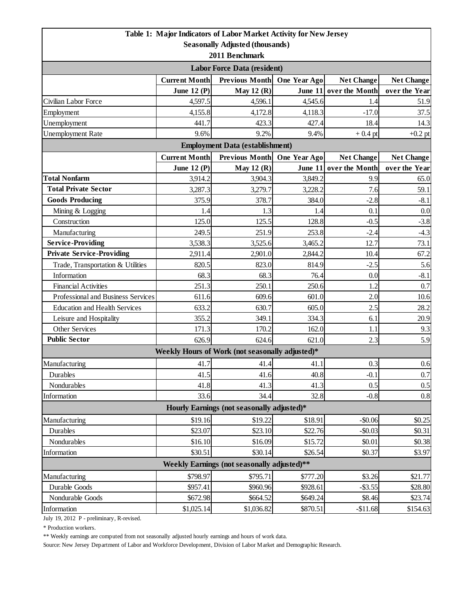|                                                 |                      | Table 1: Major Indicators of Labor Market Activity for New Jersey |                      |                        |                    |  |  |  |
|-------------------------------------------------|----------------------|-------------------------------------------------------------------|----------------------|------------------------|--------------------|--|--|--|
|                                                 |                      | <b>Seasonally Adjusted (thousands)</b>                            |                      |                        |                    |  |  |  |
| 2011 Benchmark                                  |                      |                                                                   |                      |                        |                    |  |  |  |
| <b>Labor Force Data (resident)</b>              |                      |                                                                   |                      |                        |                    |  |  |  |
|                                                 | <b>Current Month</b> | Previous Month One Year Ago                                       |                      | <b>Net Change</b>      | <b>Net Change</b>  |  |  |  |
|                                                 | June 12 $(P)$        | May $12(R)$                                                       |                      | June 11 over the Month | over the Year      |  |  |  |
| Civilian Labor Force                            | 4,597.5              | 4,596.1                                                           | 4,545.6              | 1.4                    | 51.9               |  |  |  |
| Employment                                      | 4,155.8              | 4,172.8                                                           | 4,118.3              | $-17.0$                | 37.5               |  |  |  |
| Unemployment                                    | 441.7                | 423.3                                                             | 427.4                | 18.4                   | 14.3               |  |  |  |
| <b>Unemployment Rate</b>                        | 9.6%                 | 9.2%                                                              | 9.4%                 | $+0.4$ pt              | $+0.2$ pt          |  |  |  |
| <b>Employment Data (establishment)</b>          |                      |                                                                   |                      |                        |                    |  |  |  |
|                                                 | <b>Current Month</b> | <b>Previous Month</b>                                             | One Year Ago         | <b>Net Change</b>      | <b>Net Change</b>  |  |  |  |
|                                                 | June 12 $(P)$        | May $12(R)$                                                       | June 11              | over the Month         | over the Year      |  |  |  |
| <b>Total Nonfarm</b>                            | 3,914.2              | 3,904.3                                                           | 3,849.2              | 9.9                    | 65.0               |  |  |  |
| <b>Total Private Sector</b>                     | 3,287.3              | 3,279.7                                                           | 3,228.2              | 7.6                    | 59.1               |  |  |  |
| <b>Goods Producing</b>                          | 375.9                | 378.7                                                             | 384.0                | $-2.8$                 | $-8.1$             |  |  |  |
| Mining & Logging                                | 1.4                  | 1.3                                                               | 1.4                  | 0.1                    | 0.0                |  |  |  |
| Construction                                    | 125.0                | 125.5                                                             | 128.8                | $-0.5$                 | $-3.8$             |  |  |  |
| Manufacturing                                   | 249.5                | 251.9                                                             | 253.8                | $-2.4$                 | $-4.3$             |  |  |  |
| <b>Service-Providing</b>                        | 3,538.3              | 3,525.6                                                           | 3,465.2              | 12.7                   | 73.1               |  |  |  |
| <b>Private Service-Providing</b>                | 2,911.4              | 2,901.0                                                           | 2,844.2              | 10.4                   | 67.2               |  |  |  |
| Trade, Transportation & Utilities               | 820.5                | 823.0                                                             | 814.9                | $-2.5$                 | 5.6                |  |  |  |
| Information                                     | 68.3                 | 68.3                                                              | 76.4                 | 0.0                    | $-8.1$             |  |  |  |
| <b>Financial Activities</b>                     | 251.3                | 250.1                                                             | 250.6                | 1.2                    | 0.7                |  |  |  |
| Professional and Business Services              | 611.6                | 609.6                                                             | 601.0                | 2.0                    | 10.6               |  |  |  |
| <b>Education and Health Services</b>            | 633.2                | 630.7                                                             | 605.0                | 2.5                    | 28.2               |  |  |  |
| Leisure and Hospitality                         | 355.2                | 349.1                                                             | 334.3                | 6.1                    | 20.9               |  |  |  |
| Other Services                                  | 171.3                | 170.2                                                             | 162.0                | 1.1                    | 9.3                |  |  |  |
| <b>Public Sector</b>                            | 626.9                | 624.6                                                             | 621.0                | 2.3                    | 5.9                |  |  |  |
|                                                 |                      | Weekly Hours of Work (not seasonally adjusted)*                   |                      |                        |                    |  |  |  |
| Manufacturing                                   | 41.7                 | 41.4                                                              | 41.1                 | 0.3                    | 0.6                |  |  |  |
| Durables                                        | 41.5                 | 41.6                                                              | 40.8                 | $-0.1$                 | 0.7                |  |  |  |
| Nondurables                                     | 41.8                 | 41.3                                                              | 41.3                 | 0.5                    | 0.5                |  |  |  |
| Information                                     | 33.6                 | 34.4                                                              | 32.8                 | $-0.8$                 | 0.8                |  |  |  |
| Hourly Earnings (not seasonally adjusted)*      |                      |                                                                   |                      |                        |                    |  |  |  |
| Manufacturing                                   | \$19.16              | \$19.22                                                           | \$18.91              | $-$0.06$               | \$0.25             |  |  |  |
| Durables                                        | \$23.07              | \$23.10                                                           | \$22.76              | $-$0.03$               | \$0.31             |  |  |  |
| Nondurables                                     | \$16.10              | \$16.09                                                           | \$15.72              | \$0.01                 | \$0.38             |  |  |  |
| Information                                     | \$30.51              | \$30.14                                                           | \$26.54              | \$0.37                 | \$3.97             |  |  |  |
| Weekly Earnings (not seasonally adjusted)**     |                      |                                                                   |                      |                        |                    |  |  |  |
| \$798.97<br>\$795.71<br>Manufacturing<br>\$3.26 |                      |                                                                   |                      |                        |                    |  |  |  |
| Durable Goods                                   | \$957.41             | \$960.96                                                          | \$777.20<br>\$928.61 | $-$ \$3.55             | \$21.77<br>\$28.80 |  |  |  |
| Nondurable Goods                                | \$672.98             | \$664.52                                                          | \$649.24             | \$8.46                 | \$23.74]           |  |  |  |
| Information                                     | \$1,025.14           | \$1,036.82                                                        | \$870.51             | $-$11.68$              | \$154.63           |  |  |  |
|                                                 |                      |                                                                   |                      |                        |                    |  |  |  |

July 19, 2012 P - preliminary, R-revised.

\* Production workers.

\*\* Weekly earnings are computed from not seasonally adjusted hourly earnings and hours of work data.

Source: New Jersey Department of Labor and Workforce Development, Division of Labor Market and Demographic Research.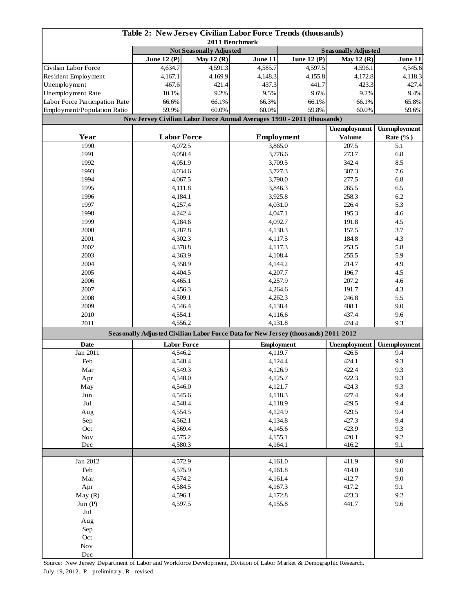| Table 2: New Jersey Civilian Labor Force Trends (thousands)<br>2011 Benchmark |                                                                                    |                   |                                                                         |                   |                            |                     |  |
|-------------------------------------------------------------------------------|------------------------------------------------------------------------------------|-------------------|-------------------------------------------------------------------------|-------------------|----------------------------|---------------------|--|
|                                                                               | <b>Not Seasonally Adjusted</b>                                                     |                   |                                                                         |                   | <b>Seasonally Adjusted</b> |                     |  |
|                                                                               | <b>June 12 (P)</b>                                                                 | <b>May 12 (R)</b> | June 11                                                                 | June 12 $(P)$     | May 12 $(R)$               | June 11             |  |
| Civilian Labor Force                                                          | 4,634.7                                                                            | 4,591.3           | 4,585.7                                                                 | 4,597.5           | 4,596.1                    | 4,545.6             |  |
| Resident Employment                                                           | 4,167.1                                                                            | 4,169.9           | 4,148.3                                                                 | 4,155.8           | 4,172.8                    | 4,118.3             |  |
| Unemployment                                                                  | 467.6                                                                              | 421.4             | 437.3                                                                   | 441.7             | 423.3                      | 427.4               |  |
| Unemployment Rate                                                             | 10.1%                                                                              | 9.2%              | 9.5%                                                                    | 9.6%              | 9.2%                       | 9.4%                |  |
| Labor Force Participation Rate                                                | 66.6%                                                                              | 66.1%             | 66.3%                                                                   | 66.1%             | 66.1%                      | 65.8%               |  |
| Employment/Population Ratio                                                   | 59.9%                                                                              | 60.0%             | 60.0%                                                                   | 59.8%             | 60.0%                      | 59.6%               |  |
|                                                                               |                                                                                    |                   | New Jersey Civilian Labor Force Annual Averages 1990 - 2011 (thousands) |                   |                            |                     |  |
|                                                                               |                                                                                    |                   |                                                                         |                   | <b>Unemployment</b>        | <b>Unemployment</b> |  |
| Year                                                                          | <b>Labor Force</b>                                                                 |                   |                                                                         | <b>Employment</b> | <b>Volume</b>              | Rate $(\%$ )        |  |
| 1990                                                                          | 4,072.5                                                                            |                   | 3,865.0                                                                 |                   | 207.5                      | 5.1                 |  |
| 1991                                                                          | 4,050.4                                                                            |                   | 3,776.6                                                                 |                   | 273.7                      | 6.8                 |  |
| 1992                                                                          | 4,051.9                                                                            |                   | 3,709.5                                                                 |                   | 342.4                      | 8.5                 |  |
| 1993                                                                          | 4,034.6                                                                            |                   | 3,727.3                                                                 |                   | 307.3                      | 7.6                 |  |
| 1994                                                                          | 4,067.5                                                                            |                   |                                                                         | 3,790.0           | 277.5                      | 6.8                 |  |
| 1995                                                                          | 4,111.8                                                                            |                   |                                                                         | 3,846.3           | 265.5                      | 6.5                 |  |
| 1996                                                                          | 4,184.1                                                                            |                   |                                                                         | 3,925.8           | 258.3                      | 6.2                 |  |
| 1997                                                                          | 4,257.4                                                                            |                   |                                                                         | 4,031.0           | 226.4                      | 5.3                 |  |
| 1998                                                                          | 4,242.4                                                                            |                   | 4,047.1                                                                 |                   | 195.3                      | 4.6                 |  |
| 1999                                                                          | 4,284.6                                                                            |                   |                                                                         | 4,092.7           | 191.8                      | 4.5                 |  |
| 2000                                                                          | 4,287.8                                                                            |                   |                                                                         | 4,130.3           | 157.5                      | 3.7                 |  |
| 2001                                                                          | 4,302.3                                                                            |                   |                                                                         | 4,117.5           | 184.8                      | 4.3                 |  |
| 2002                                                                          | 4,370.8                                                                            |                   |                                                                         | 4,117.3           | 253.5                      | 5.8                 |  |
| 2003                                                                          | 4,363.9                                                                            |                   |                                                                         | 4,108.4           |                            | 5.9                 |  |
| 2004                                                                          | 4,358.9                                                                            |                   | 4,144.2                                                                 |                   | 255.5<br>214.7             | 4.9                 |  |
| 2005                                                                          | 4,404.5                                                                            |                   | 4,207.7                                                                 |                   | 196.7                      | 4.5                 |  |
| 2006                                                                          | 4,465.1                                                                            |                   | 4,257.9                                                                 |                   | 207.2                      | 4.6                 |  |
| 2007                                                                          | 4,456.3                                                                            |                   | 4,264.6                                                                 |                   | 191.7                      | 4.3                 |  |
| 2008                                                                          | 4,509.1                                                                            |                   | 4,262.3                                                                 |                   | 246.8                      | 5.5                 |  |
| 2009                                                                          | 4,546.4                                                                            |                   | 4,138.4                                                                 |                   | 408.1                      | 9.0                 |  |
| 2010                                                                          | 4,554.1                                                                            |                   | 4,116.6                                                                 |                   | 437.4                      | 9.6                 |  |
| 2011                                                                          | 4,556.2                                                                            |                   |                                                                         | 4,131.8           | 424.4                      | 9.3                 |  |
|                                                                               | Seasonally Adjusted Civilian Labor Force Data for New Jersey (thousands) 2011-2012 |                   |                                                                         |                   |                            |                     |  |
|                                                                               |                                                                                    |                   |                                                                         |                   | <b>Unemployment</b>        |                     |  |
| Date                                                                          | <b>Labor Force</b>                                                                 |                   |                                                                         | <b>Employment</b> |                            | <b>Unemployment</b> |  |
| Jan 2011<br>Feb                                                               | 4,546.2                                                                            |                   | 4,119.7                                                                 |                   | 426.5<br>424.1             | 9.4                 |  |
|                                                                               | 4,548.4                                                                            |                   | 4,124.4                                                                 |                   | 422.4                      | 9.3<br>9.3          |  |
| Mar                                                                           | 4,549.3                                                                            |                   | 4,126.9                                                                 |                   |                            |                     |  |
| Apr                                                                           | 4,548.0                                                                            |                   | 4,125.7                                                                 |                   | 422.3                      | 9.3                 |  |
| May                                                                           | 4,546.0                                                                            |                   | 4,121.7                                                                 |                   | 424.3                      | 9.3                 |  |
| Jun                                                                           | 4,545.6                                                                            |                   | 4,118.3                                                                 |                   | 427.4                      | 9.4                 |  |
| $_{\rm{Jul}}$                                                                 | 4,548.4                                                                            |                   | 4,118.9                                                                 |                   | 429.5                      | 9.4                 |  |
| Aug                                                                           | 4,554.5                                                                            |                   | 4,124.9                                                                 |                   | 429.5                      | 9.4                 |  |
| Sep                                                                           | 4,562.1                                                                            |                   | 4,134.8                                                                 |                   | 427.3                      | 9.4                 |  |
| Oct                                                                           | 4,569.4                                                                            |                   | 4,145.6                                                                 |                   | 423.9                      | 9.3                 |  |
| Nov<br>Dec                                                                    | 4,575.2                                                                            |                   | 4,155.1<br>4,164.1                                                      |                   | 420.1<br>416.2             | 9.2<br>9.1          |  |
|                                                                               | 4,580.3                                                                            |                   |                                                                         |                   |                            |                     |  |
| Jan 2012                                                                      | 4,572.9                                                                            |                   | 4,161.0                                                                 |                   | 411.9                      | 9.0                 |  |
| Feb                                                                           |                                                                                    |                   | 4,161.8                                                                 |                   | 414.0                      | 9.0                 |  |
| Mar                                                                           | 4,575.9                                                                            |                   | 4,161.4                                                                 |                   | 412.7                      | 9.0                 |  |
| Apr                                                                           | 4,574.2<br>4,584.5                                                                 |                   | 4,167.3                                                                 |                   | 417.2                      | 9.1                 |  |
| May(R)                                                                        | 4,596.1                                                                            |                   |                                                                         |                   | 423.3                      | 9.2                 |  |
| Jun $(P)$                                                                     | 4,597.5                                                                            |                   | 4,172.8<br>4,155.8                                                      |                   | 441.7                      | 9.6                 |  |
| $_{\rm{Jul}}$                                                                 |                                                                                    |                   |                                                                         |                   |                            |                     |  |
| Aug                                                                           |                                                                                    |                   |                                                                         |                   |                            |                     |  |
| Sep                                                                           |                                                                                    |                   |                                                                         |                   |                            |                     |  |
| Oct                                                                           |                                                                                    |                   |                                                                         |                   |                            |                     |  |
| $\operatorname{Nov}$                                                          |                                                                                    |                   |                                                                         |                   |                            |                     |  |
| $\rm Dec$                                                                     |                                                                                    |                   |                                                                         |                   |                            |                     |  |

Source: New Jersey Department of Labor and Workforce Development, Division of Labor Market & Demographic Research. July 19, 2012. P - preliminary, R - revised.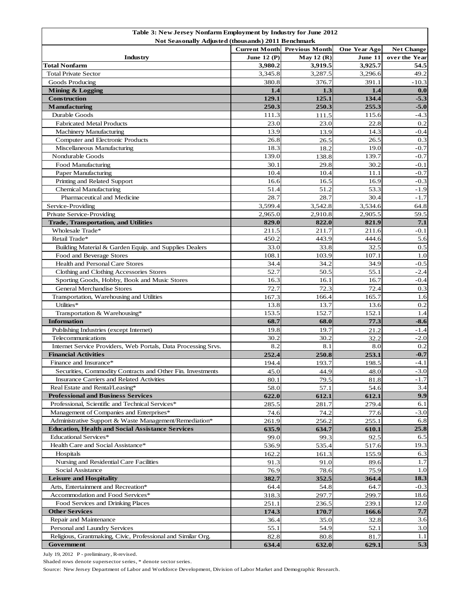| Table 3: New Jersey Nonfarm Employment by Industry for June 2012 |                                                    |                       |              |                   |  |  |
|------------------------------------------------------------------|----------------------------------------------------|-----------------------|--------------|-------------------|--|--|
|                                                                  | Not Seasonally Adjusted (thousands) 2011 Benchmark |                       |              |                   |  |  |
|                                                                  | <b>Current Month</b>                               | <b>Previous Month</b> | One Year Ago | <b>Net Change</b> |  |  |
| Industry                                                         | June 12 $(P)$                                      | May 12 $(R)$          | June 11      | over the Year     |  |  |
| Total Nonfarm                                                    | 3,980.2                                            | 3,919.5               | 3,925.7      | 54.5              |  |  |
| <b>Total Private Sector</b>                                      | 3,345.8                                            | 3,287.5               | 3,296.6      | 49.2              |  |  |
| Goods Producing                                                  | 380.8                                              | 376.7                 | 391.1        | $-10.3$           |  |  |
| Mining & Logging                                                 | 1.4                                                | 1.3                   | 1.4          | 0.0               |  |  |
| <b>Construction</b>                                              | 129.1                                              | 125.1                 | 134.4        | $-5.3$            |  |  |
| <b>Manufacturing</b>                                             | 250.3                                              | 250.3                 | 255.3        | $-5.0$            |  |  |
| Durable Goods                                                    | 111.3                                              | 111.5                 | 115.6        | $-4.3$            |  |  |
| <b>Fabricated Metal Products</b>                                 | 23.0                                               | 23.0                  | 22.8         | 0.2               |  |  |
| <b>Machinery Manufacturing</b>                                   | 13.9                                               | 13.9                  | 14.3         | $-0.4$            |  |  |
| Computer and Electronic Products                                 | 26.8                                               | 26.5                  | 26.5         | 0.3               |  |  |
| Miscellaneous Manufacturing                                      | 18.3                                               | 18.2                  | 19.0         | $-0.7$            |  |  |
| Nondurable Goods                                                 | 139.0                                              | 138.8                 | 139.7        | $-0.7$            |  |  |
| Food Manufacturing                                               | 30.1                                               | 29.8                  | 30.2         | $-0.1$            |  |  |
| Paper Manufacturing                                              | 10.4                                               | 10.4                  | 11.1         | $-0.7$            |  |  |
| Printing and Related Support                                     | 16.6                                               | 16.5                  | 16.9         | $-0.3$            |  |  |
| <b>Chemical Manufacturing</b>                                    | 51.4                                               | 51.2                  | 53.3         | $-1.9$            |  |  |
| Pharmaceutical and Medicine                                      | 28.7                                               | 28.7                  | 30.4         | $-1.7$            |  |  |
| Service-Providing                                                | 3,599.4                                            | 3,542.8               | 3,534.6      | 64.8              |  |  |
| Private Service-Providing                                        | 2,965.0                                            | 2,910.8               | 2,905.5      | 59.5              |  |  |
| <b>Trade, Transportation, and Utilities</b>                      | 829.0                                              | 822.0                 | 821.9        | 7.1               |  |  |
| Wholesale Trade*                                                 | 211.5                                              | 211.7                 | 211.6        | $-0.1$            |  |  |
| Retail Trade*                                                    | 450.2                                              | 443.9                 | 444.6        | 5.6               |  |  |
| Building Material & Garden Equip. and Supplies Dealers           | 33.0                                               | 33.8                  | 32.5         | 0.5               |  |  |
| Food and Beverage Stores                                         | 108.1                                              | 103.9                 | 107.1        | 1.0               |  |  |
| Health and Personal Care Stores                                  | 34.4                                               | 34.2                  | 34.9         | $-0.5$            |  |  |
| Clothing and Clothing Accessories Stores                         | 52.7                                               | 50.5                  | 55.1         | $-2.4$            |  |  |
| Sporting Goods, Hobby, Book and Music Stores                     | 16.3                                               | 16.1                  | 16.7         | $-0.4$            |  |  |
| <b>General Merchandise Stores</b>                                | 72.7                                               | 72.3                  | 72.4         | 0.3               |  |  |
| Transportation, Warehousing and Utilities                        | 167.3                                              | 166.4                 | 165.7        | 1.6               |  |  |
| Utilities*                                                       | 13.8                                               | 13.7                  | 13.6         | 0.2               |  |  |
| Transportation & Warehousing*                                    | 153.5                                              | 152.7                 | 152.1        | 1.4               |  |  |
| <b>Information</b>                                               | 68.7                                               | 68.0                  | 77.3         | $-8.6$            |  |  |
| Publishing Industries (except Internet)                          | 19.8                                               | 19.7                  |              | $-1.4$            |  |  |
| Telecommunications                                               | 30.2                                               | 30.2                  | 21.2         | $-2.0$            |  |  |
| Internet Service Providers, Web Portals, Data Processing Srvs.   | 8.2                                                | 8.1                   | 32.2<br>8.0  | 0.2               |  |  |
| <b>Financial Activities</b>                                      | 252.4                                              |                       | 253.1        | $-0.7$            |  |  |
| Finance and Insurance*                                           |                                                    | 250.8                 |              |                   |  |  |
|                                                                  | 194.4                                              | 193.7                 | 198.5        | $-4.1$<br>$-3.0$  |  |  |
| Securities, Commodity Contracts and Other Fin. Investments       | 45.0                                               | 44.9                  | 48.0         |                   |  |  |
| Insurance Carriers and Related Activities                        | 80.1                                               | 79.5                  | 81.8         | $-1.7$            |  |  |
| Real Estate and Rental/Leasing*                                  | 58.0                                               | 57.1                  | 54.6         | 3.4               |  |  |
| <b>Professional and Business Services</b>                        | 622.0                                              | 612.1                 | 612.1        | 9.9               |  |  |
| Professional, Scientific and Technical Services*                 | 285.5                                              | 281.7                 | 279.4        | 6.1               |  |  |
| Management of Companies and Enterprises*                         | 74.6                                               | 74.2                  | 77.6         | $-3.0$            |  |  |
| Administrative Support & Waste Management/Remediation*           | 261.9                                              | 256.2                 | 255.1        | 6.8               |  |  |
| <b>Education, Health and Social Assistance Services</b>          | 635.9                                              | 634.7                 | 610.1        | 25.8              |  |  |
| <b>Educational Services*</b>                                     | 99.0                                               | 99.3                  | 92.5         | 6.5               |  |  |
| Health Care and Social Assistance*                               | 536.9                                              | 535.4                 | 517.6        | 19.3              |  |  |
| Hospitals                                                        | 162.2                                              | 161.3                 | 155.9        | 6.3               |  |  |
| Nursing and Residential Care Facilities                          | 91.3                                               | 91.0                  | 89.6         | 1.7               |  |  |
| Social Assistance                                                | 76.9                                               | 78.6                  | 75.9         | 1.0               |  |  |
| <b>Leisure and Hospitality</b>                                   | 382.7                                              | 352.5                 | 364.4        | 18.3              |  |  |
| Arts, Entertainment and Recreation*                              | 64.4                                               | 54.8                  | 64.7         | $-0.3$            |  |  |
| Accommodation and Food Services*                                 | 318.3                                              | 297.7                 | 299.7        | 18.6              |  |  |
| Food Services and Drinking Places                                | 251.1                                              | 236.5                 | 239.1        | 12.0              |  |  |
| <b>Other Services</b>                                            | 174.3                                              | 170.7                 | 166.6        | 7.7               |  |  |
| Repair and Maintenance                                           | 36.4                                               | 35.0                  | 32.8         | 3.6               |  |  |
| Personal and Laundry Services                                    | 55.1                                               | 54.9                  | 52.1         | 3.0               |  |  |
| Religious, Grantmaking, Civic, Professional and Similar Org.     | 82.8                                               | 80.8                  | 81.7         | 1.1               |  |  |
| Government                                                       | 634.4                                              | 632.0                 | 629.1        | 5.3               |  |  |

July 19, 2012 P - preliminary, R-revised.

Shaded rows denote supersector series, \* denote sector series.

Source: New Jersey Department of Labor and Workforce Development, Division of Labor Market and Demographic Research.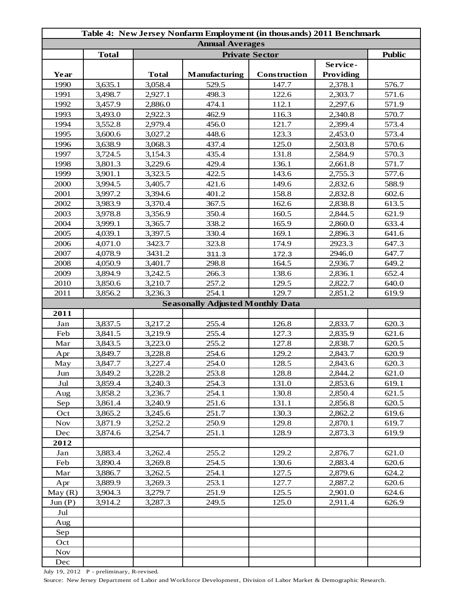| Table 4: New Jersey Nonfarm Employment (in thousands) 2011 Benchmark |                    |                                        |                                         |                |                    |                |  |
|----------------------------------------------------------------------|--------------------|----------------------------------------|-----------------------------------------|----------------|--------------------|----------------|--|
| <b>Annual Averages</b>                                               |                    |                                        |                                         |                |                    |                |  |
|                                                                      | <b>Total</b>       | <b>Public</b><br><b>Private Sector</b> |                                         |                |                    |                |  |
|                                                                      |                    |                                        |                                         |                | Service-           |                |  |
| Year                                                                 |                    | <b>Total</b>                           | <b>Manufacturing</b>                    | Construction   | Providing          |                |  |
| 1990                                                                 | 3,635.1            | 3,058.4                                | 529.5                                   | 147.7          | 2,378.1            | 576.7          |  |
| 1991                                                                 | 3,498.7            | 2,927.1                                | 498.3                                   | 122.6          | 2,303.7            | 571.6          |  |
| 1992                                                                 | 3,457.9            | 2,886.0                                | 474.1                                   | 112.1          | 2,297.6            | 571.9          |  |
| 1993                                                                 | 3,493.0            | 2,922.3                                | 462.9                                   | 116.3          | 2,340.8            | 570.7          |  |
| 1994                                                                 | 3,552.8            | 2,979.4                                | 456.0                                   | 121.7          | 2,399.4            | 573.4          |  |
| 1995                                                                 | 3,600.6            | 3,027.2                                | 448.6                                   | 123.3          | 2,453.0            | 573.4          |  |
| 1996                                                                 | 3,638.9            | 3,068.3                                | 437.4                                   | 125.0          | 2,503.8            | 570.6          |  |
| 1997                                                                 | 3,724.5            | 3,154.3                                | 435.4                                   | 131.8          | 2,584.9            | 570.3          |  |
| 1998                                                                 | 3,801.3            | 3,229.6                                | 429.4                                   | 136.1          | 2,661.8            | 571.7          |  |
| 1999                                                                 | 3,901.1            | 3,323.5                                | 422.5                                   | 143.6          | 2,755.3            | 577.6          |  |
| 2000                                                                 | 3,994.5            | 3,405.7                                | 421.6                                   | 149.6          | 2,832.6            | 588.9          |  |
| 2001                                                                 | 3,997.2            | 3,394.6                                | 401.2                                   | 158.8          | 2,832.8            | 602.6          |  |
| 2002                                                                 | 3,983.9            | 3,370.4                                | 367.5                                   | 162.6          | 2,838.8            | 613.5          |  |
| 2003                                                                 | 3,978.8            | 3,356.9                                | 350.4                                   | 160.5          | 2,844.5            | 621.9          |  |
| 2004                                                                 | 3,999.1            | 3,365.7                                | 338.2                                   | 165.9          | 2,860.0            | 633.4          |  |
| 2005                                                                 | 4,039.1            | 3,397.5                                | 330.4                                   | 169.1          | 2,896.3            | 641.6          |  |
| 2006                                                                 | 4,071.0            | 3423.7                                 | 323.8                                   | 174.9          | 2923.3             | 647.3          |  |
| 2007                                                                 | 4,078.9            | 3431.2                                 | 311.3                                   | 172.3          | 2946.0             | 647.7          |  |
| 2008                                                                 | 4,050.9            | 3,401.7                                | 298.8                                   | 164.5          | 2,936.7            | 649.2          |  |
| 2009                                                                 | 3,894.9            | 3,242.5                                | 266.3                                   | 138.6          | 2,836.1            | 652.4          |  |
| 2010                                                                 | 3,850.6            | 3,210.7                                | 257.2                                   | 129.5          | 2,822.7            | 640.0          |  |
| 2011                                                                 | 3,856.2            | 3,236.3                                | 254.1                                   | 129.7          | 2,851.2            | 619.9          |  |
|                                                                      |                    |                                        | <b>Seasonally Adjusted Monthly Data</b> |                |                    |                |  |
| 2011                                                                 |                    |                                        |                                         |                |                    |                |  |
| Jan                                                                  | 3,837.5            | 3,217.2                                | 255.4                                   | 126.8          | 2,833.7            | 620.3          |  |
| Feb                                                                  | 3,841.5            | 3,219.9                                | 255.4                                   | 127.3          | 2,835.9            | 621.6          |  |
| Mar                                                                  | 3,843.5            | 3,223.0                                | 255.2<br>254.6                          | 127.8<br>129.2 | 2,838.7            | 620.5          |  |
| Apr                                                                  | 3,849.7<br>3,847.7 | 3,228.8<br>3,227.4                     | 254.0                                   | 128.5          | 2,843.7<br>2,843.6 | 620.9<br>620.3 |  |
| May                                                                  | 3,849.2            | 3,228.2                                | 253.8                                   | 128.8          | 2,844.2            |                |  |
| Jun                                                                  |                    | 3,240.3                                | 254.3                                   |                |                    | 621.0          |  |
| Jul                                                                  | 3,859.4            | 3,236.7                                | 254.1                                   | 131.0<br>130.8 | 2,853.6<br>2,850.4 | 619.1<br>621.5 |  |
| Aug                                                                  | 3,858.2            |                                        |                                         |                |                    |                |  |
| Sep                                                                  | 3,861.4            | 3,240.9                                | 251.6<br>251.7                          | 131.1<br>130.3 | 2,856.8<br>2,862.2 | 620.5          |  |
| Oct<br><b>Nov</b>                                                    | 3,865.2<br>3,871.9 | 3,245.6<br>3,252.2                     | 250.9                                   | 129.8          | 2,870.1            | 619.6<br>619.7 |  |
| Dec                                                                  | 3,874.6            | 3,254.7                                | 251.1                                   | 128.9          | 2,873.3            | 619.9          |  |
| 2012                                                                 |                    |                                        |                                         |                |                    |                |  |
| Jan                                                                  | 3,883.4            | 3,262.4                                | 255.2                                   | 129.2          | 2,876.7            | 621.0          |  |
| Feb                                                                  | 3,890.4            | 3,269.8                                | 254.5                                   | 130.6          | 2,883.4            | 620.6          |  |
| Mar                                                                  | 3,886.7            | 3,262.5                                | 254.1                                   | 127.5          | 2,879.6            | 624.2          |  |
|                                                                      | 3,889.9            | 3,269.3                                | 253.1                                   | 127.7          | 2,887.2            | 620.6          |  |
| Apr<br>May(R)                                                        | 3,904.3            | 3,279.7                                | 251.9                                   | 125.5          | 2,901.0            | 624.6          |  |
| Jun (P)                                                              | 3,914.2            | 3,287.3                                | 249.5                                   | 125.0          | 2,911.4            | 626.9          |  |
| Jul                                                                  |                    |                                        |                                         |                |                    |                |  |
|                                                                      |                    |                                        |                                         |                |                    |                |  |
| Aug<br>Sep                                                           |                    |                                        |                                         |                |                    |                |  |
| Oct                                                                  |                    |                                        |                                         |                |                    |                |  |
| <b>Nov</b>                                                           |                    |                                        |                                         |                |                    |                |  |
| Dec                                                                  |                    |                                        |                                         |                |                    |                |  |
|                                                                      |                    |                                        |                                         |                |                    |                |  |

July 19, 2012 P - preliminary, R-revised.

Source: New Jersey Department of Labor and Workforce Development, Division of Labor Market & Demographic Research.